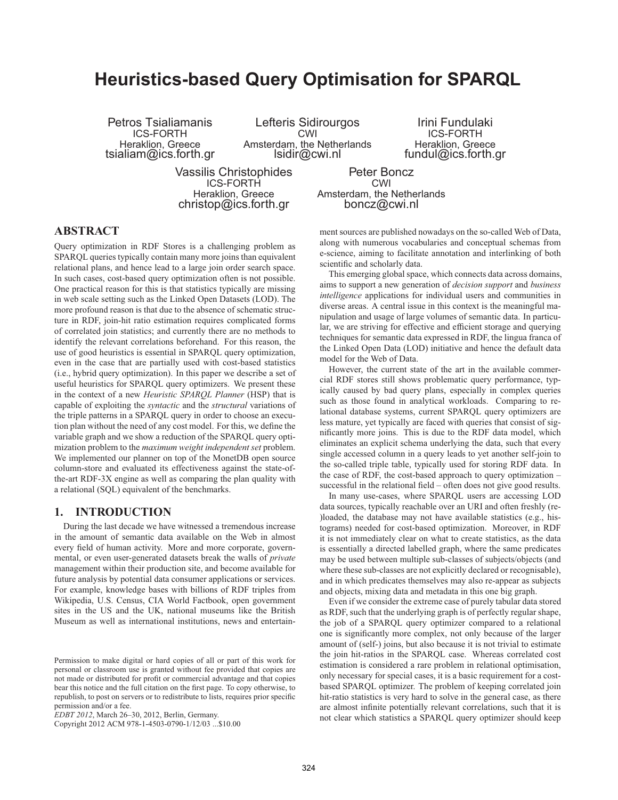# **Heuristics-based Query Optimisation for SPARQL**

Petros Tsialiamanis ICS-FORTH Heraklion, Greece tsialiam@ics.forth.gr Lefteris Sidirourgos CWI Amsterdam, the Netherlands lsidir@cwi.nl

Irini Fundulaki ICS-FORTH Heraklion, Greece fundul@ics.forth.gr

Vassilis Christophides ICS-FORTH Heraklion, Greece christop@ics.forth.gr

Peter Boncz CWI Amsterdam, the Netherlands boncz@cwi.nl

# **ABSTRACT**

Query optimization in RDF Stores is a challenging problem as SPARQL queries typically contain many more joins than equivalent relational plans, and hence lead to a large join order search space. In such cases, cost-based query optimization often is not possible. One practical reason for this is that statistics typically are missing in web scale setting such as the Linked Open Datasets (LOD). The more profound reason is that due to the absence of schematic structure in RDF, join-hit ratio estimation requires complicated forms of correlated join statistics; and currently there are no methods to identify the relevant correlations beforehand. For this reason, the use of good heuristics is essential in SPARQL query optimization, even in the case that are partially used with cost-based statistics (i.e., hybrid query optimization). In this paper we describe a set of useful heuristics for SPARQL query optimizers. We present these in the context of a new *Heuristic SPARQL Planner* (HSP) that is capable of exploiting the *syntactic* and the *structural* variations of the triple patterns in a SPARQL query in order to choose an execution plan without the need of any cost model. For this, we define the variable graph and we show a reduction of the SPARQL query optimization problem to the *maximum weight independent set* problem. We implemented our planner on top of the MonetDB open source column-store and evaluated its effectiveness against the state-ofthe-art RDF-3X engine as well as comparing the plan quality with a relational (SQL) equivalent of the benchmarks.

## **1. INTRODUCTION**

During the last decade we have witnessed a tremendous increase in the amount of semantic data available on the Web in almost every field of human activity. More and more corporate, governmental, or even user-generated datasets break the walls of *private* management within their production site, and become available for future analysis by potential data consumer applications or services. For example, knowledge bases with billions of RDF triples from Wikipedia, U.S. Census, CIA World Factbook, open government sites in the US and the UK, national museums like the British Museum as well as international institutions, news and entertain-

Copyright 2012 ACM 978-1-4503-0790-1/12/03 ...\$10.00

ment sources are published nowadays on the so-called Web of Data, along with numerous vocabularies and conceptual schemas from e-science, aiming to facilitate annotation and interlinking of both scientific and scholarly data.

This emerging global space, which connects data across domains, aims to support a new generation of *decision support* and *business intelligence* applications for individual users and communities in diverse areas. A central issue in this context is the meaningful manipulation and usage of large volumes of semantic data. In particular, we are striving for effective and efficient storage and querying techniques for semantic data expressed in RDF, the lingua franca of the Linked Open Data (LOD) initiative and hence the default data model for the Web of Data.

However, the current state of the art in the available commercial RDF stores still shows problematic query performance, typically caused by bad query plans, especially in complex queries such as those found in analytical workloads. Comparing to relational database systems, current SPARQL query optimizers are less mature, yet typically are faced with queries that consist of significantly more joins. This is due to the RDF data model, which eliminates an explicit schema underlying the data, such that every single accessed column in a query leads to yet another self-join to the so-called triple table, typically used for storing RDF data. In the case of RDF, the cost-based approach to query optimization – successful in the relational field – often does not give good results.

In many use-cases, where SPARQL users are accessing LOD data sources, typically reachable over an URI and often freshly (re- )loaded, the database may not have available statistics (e.g., histograms) needed for cost-based optimization. Moreover, in RDF it is not immediately clear on what to create statistics, as the data is essentially a directed labelled graph, where the same predicates may be used between multiple sub-classes of subjects/objects (and where these sub-classes are not explicitly declared or recognisable), and in which predicates themselves may also re-appear as subjects and objects, mixing data and metadata in this one big graph.

Even if we consider the extreme case of purely tabular data stored as RDF, such that the underlying graph is of perfectly regular shape, the job of a SPARQL query optimizer compared to a relational one is significantly more complex, not only because of the larger amount of (self-) joins, but also because it is not trivial to estimate the join hit-ratios in the SPARQL case. Whereas correlated cost estimation is considered a rare problem in relational optimisation, only necessary for special cases, it is a basic requirement for a costbased SPARQL optimizer. The problem of keeping correlated join hit-ratio statistics is very hard to solve in the general case, as there are almost infinite potentially relevant correlations, such that it is not clear which statistics a SPARQL query optimizer should keep

Permission to make digital or hard copies of all or part of this work for personal or classroom use is granted without fee provided that copies are not made or distributed for profit or commercial advantage and that copies bear this notice and the full citation on the first page. To copy otherwise, to republish, to post on servers or to redistribute to lists, requires prior specific permission and/or a fee.

*EDBT 2012*, March 26–30, 2012, Berlin, Germany.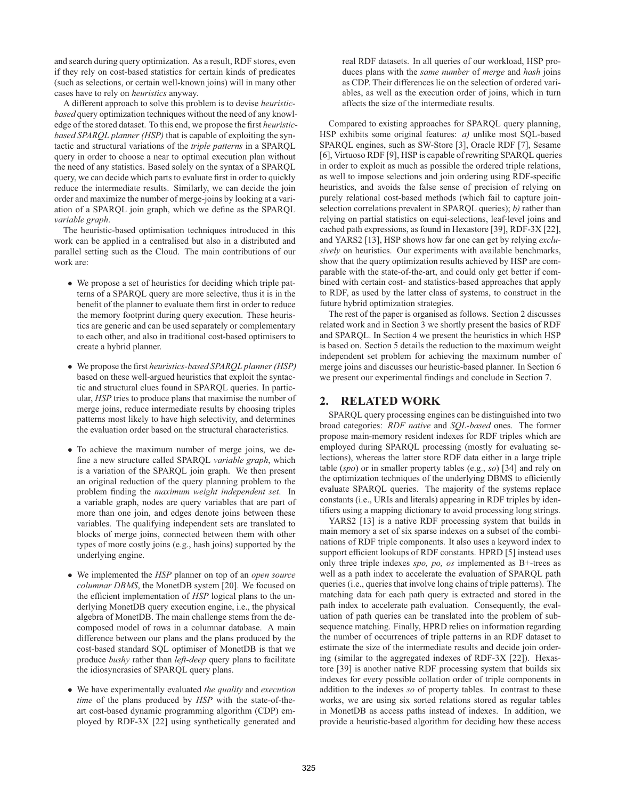and search during query optimization. As a result, RDF stores, even if they rely on cost-based statistics for certain kinds of predicates (such as selections, or certain well-known joins) will in many other cases have to rely on *heuristics* anyway.

A different approach to solve this problem is to devise *heuristicbased* query optimization techniques without the need of any knowledge of the stored dataset. To this end, we propose the first *heuristicbased SPARQL planner (HSP)* that is capable of exploiting the syntactic and structural variations of the *triple patterns* in a SPARQL query in order to choose a near to optimal execution plan without the need of any statistics. Based solely on the syntax of a SPARQL query, we can decide which parts to evaluate first in order to quickly reduce the intermediate results. Similarly, we can decide the join order and maximize the number of merge-joins by looking at a variation of a SPARQL join graph, which we define as the SPARQL *variable graph*.

The heuristic-based optimisation techniques introduced in this work can be applied in a centralised but also in a distributed and parallel setting such as the Cloud. The main contributions of our work are:

- We propose a set of heuristics for deciding which triple patterns of a SPARQL query are more selective, thus it is in the benefit of the planner to evaluate them first in order to reduce the memory footprint during query execution. These heuristics are generic and can be used separately or complementary to each other, and also in traditional cost-based optimisers to create a hybrid planner.
- We propose the first *heuristics-based SPARQL planner (HSP)* based on these well-argued heuristics that exploit the syntactic and structural clues found in SPARQL queries. In particular, *HSP* tries to produce plans that maximise the number of merge joins, reduce intermediate results by choosing triples patterns most likely to have high selectivity, and determines the evaluation order based on the structural characteristics.
- To achieve the maximum number of merge joins, we define a new structure called SPARQL *variable graph*, which is a variation of the SPARQL join graph. We then present an original reduction of the query planning problem to the problem finding the *maximum weight independent set*. In a variable graph, nodes are query variables that are part of more than one join, and edges denote joins between these variables. The qualifying independent sets are translated to blocks of merge joins, connected between them with other types of more costly joins (e.g., hash joins) supported by the underlying engine.
- We implemented the *HSP* planner on top of an *open source columnar DBMS*, the MonetDB system [20]. We focused on the efficient implementation of *HSP* logical plans to the underlying MonetDB query execution engine, i.e., the physical algebra of MonetDB. The main challenge stems from the decomposed model of rows in a columnar database. A main difference between our plans and the plans produced by the cost-based standard SQL optimiser of MonetDB is that we produce *bushy* rather than *left-deep* query plans to facilitate the idiosyncrasies of SPARQL query plans.
- We have experimentally evaluated *the quality* and *execution time* of the plans produced by *HSP* with the state-of-theart cost-based dynamic programming algorithm (CDP) employed by RDF-3X [22] using synthetically generated and

real RDF datasets. In all queries of our workload, HSP produces plans with the *same number* of *merge* and *hash* joins as CDP. Their differences lie on the selection of ordered variables, as well as the execution order of joins, which in turn affects the size of the intermediate results.

Compared to existing approaches for SPARQL query planning, HSP exhibits some original features: *a)* unlike most SQL-based SPARQL engines, such as SW-Store [3], Oracle RDF [7], Sesame [6], Virtuoso RDF [9], HSP is capable of rewriting SPARQL queries in order to exploit as much as possible the ordered triple relations, as well to impose selections and join ordering using RDF-specific heuristics, and avoids the false sense of precision of relying on purely relational cost-based methods (which fail to capture joinselection correlations prevalent in SPARQL queries); *b)* rather than relying on partial statistics on equi-selections, leaf-level joins and cached path expressions, as found in Hexastore [39], RDF-3X [22], and YARS2 [13], HSP shows how far one can get by relying *exclusively* on heuristics. Our experiments with available benchmarks, show that the query optimization results achieved by HSP are comparable with the state-of-the-art, and could only get better if combined with certain cost- and statistics-based approaches that apply to RDF, as used by the latter class of systems, to construct in the future hybrid optimization strategies.

The rest of the paper is organised as follows. Section 2 discusses related work and in Section 3 we shortly present the basics of RDF and SPARQL. In Section 4 we present the heuristics in which HSP is based on. Section 5 details the reduction to the maximum weight independent set problem for achieving the maximum number of merge joins and discusses our heuristic-based planner. In Section 6 we present our experimental findings and conclude in Section 7.

### **2. RELATED WORK**

SPARQL query processing engines can be distinguished into two broad categories: *RDF native* and *SQL-based* ones. The former propose main-memory resident indexes for RDF triples which are employed during SPARQL processing (mostly for evaluating selections), whereas the latter store RDF data either in a large triple table (*spo*) or in smaller property tables (e.g., *so*) [34] and rely on the optimization techniques of the underlying DBMS to efficiently evaluate SPARQL queries. The majority of the systems replace constants (i.e., URIs and literals) appearing in RDF triples by identifiers using a mapping dictionary to avoid processing long strings.

YARS2 [13] is a native RDF processing system that builds in main memory a set of six sparse indexes on a subset of the combinations of RDF triple components. It also uses a keyword index to support efficient lookups of RDF constants. HPRD [5] instead uses only three triple indexes *spo, po, os* implemented as B+-trees as well as a path index to accelerate the evaluation of SPARQL path queries (i.e., queries that involve long chains of triple patterns). The matching data for each path query is extracted and stored in the path index to accelerate path evaluation. Consequently, the evaluation of path queries can be translated into the problem of subsequence matching. Finally, HPRD relies on information regarding the number of occurrences of triple patterns in an RDF dataset to estimate the size of the intermediate results and decide join ordering (similar to the aggregated indexes of RDF-3X [22]). Hexastore [39] is another native RDF processing system that builds six indexes for every possible collation order of triple components in addition to the indexes *so* of property tables. In contrast to these works, we are using six sorted relations stored as regular tables in MonetDB as access paths instead of indexes. In addition, we provide a heuristic-based algorithm for deciding how these access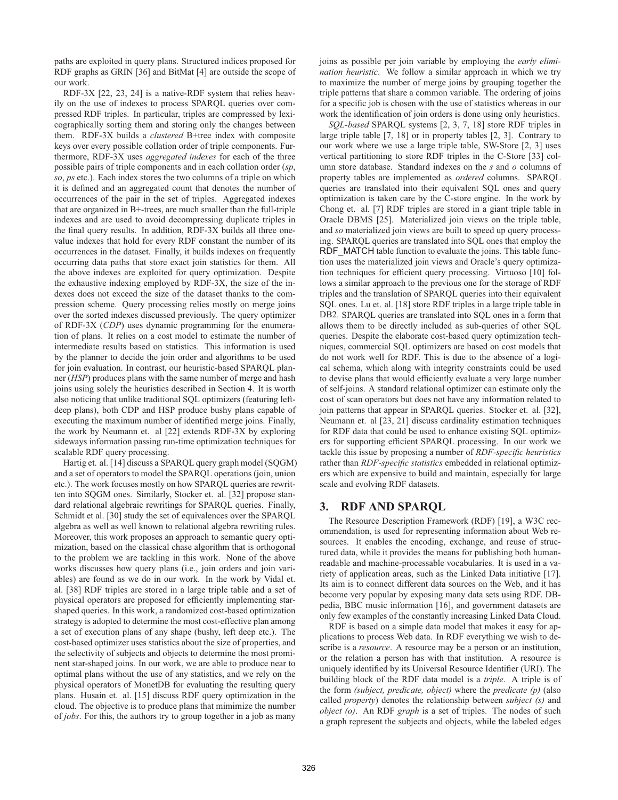paths are exploited in query plans. Structured indices proposed for RDF graphs as GRIN [36] and BitMat [4] are outside the scope of our work.

RDF-3X [22, 23, 24] is a native-RDF system that relies heavily on the use of indexes to process SPARQL queries over compressed RDF triples. In particular, triples are compressed by lexicographically sorting them and storing only the changes between them. RDF-3X builds a *clustered* B+tree index with composite keys over every possible collation order of triple components. Furthermore, RDF-3X uses *aggregated indexes* for each of the three possible pairs of triple components and in each collation order (*sp*, *so*, *ps* etc.). Each index stores the two columns of a triple on which it is defined and an aggregated count that denotes the number of occurrences of the pair in the set of triples. Aggregated indexes that are organized in B+-trees, are much smaller than the full-triple indexes and are used to avoid decompressing duplicate triples in the final query results. In addition, RDF-3X builds all three onevalue indexes that hold for every RDF constant the number of its occurrences in the dataset. Finally, it builds indexes on frequently occurring data paths that store exact join statistics for them. All the above indexes are exploited for query optimization. Despite the exhaustive indexing employed by RDF-3X, the size of the indexes does not exceed the size of the dataset thanks to the compression scheme. Query processing relies mostly on merge joins over the sorted indexes discussed previously. The query optimizer of RDF-3X (*CDP*) uses dynamic programming for the enumeration of plans. It relies on a cost model to estimate the number of intermediate results based on statistics. This information is used by the planner to decide the join order and algorithms to be used for join evaluation. In contrast, our heuristic-based SPARQL planner (*HSP*) produces plans with the same number of merge and hash joins using solely the heuristics described in Section 4. It is worth also noticing that unlike traditional SQL optimizers (featuring leftdeep plans), both CDP and HSP produce bushy plans capable of executing the maximum number of identified merge joins. Finally, the work by Neumann et. al [22] extends RDF-3X by exploring sideways information passing run-time optimization techniques for scalable RDF query processing.

Hartig et. al. [14] discuss a SPARQL query graph model (SQGM) and a set of operators to model the SPARQL operations (join, union etc.). The work focuses mostly on how SPARQL queries are rewritten into SQGM ones. Similarly, Stocker et. al. [32] propose standard relational algebraic rewritings for SPARQL queries. Finally, Schmidt et al. [30] study the set of equivalences over the SPARQL algebra as well as well known to relational algebra rewriting rules. Moreover, this work proposes an approach to semantic query optimization, based on the classical chase algorithm that is orthogonal to the problem we are tackling in this work. None of the above works discusses how query plans (i.e., join orders and join variables) are found as we do in our work. In the work by Vidal et. al. [38] RDF triples are stored in a large triple table and a set of physical operators are proposed for efficiently implementing starshaped queries. In this work, a randomized cost-based optimization strategy is adopted to determine the most cost-effective plan among a set of execution plans of any shape (bushy, left deep etc.). The cost-based optimizer uses statistics about the size of properties, and the selectivity of subjects and objects to determine the most prominent star-shaped joins. In our work, we are able to produce near to optimal plans without the use of any statistics, and we rely on the physical operators of MonetDB for evaluating the resulting query plans. Husain et. al. [15] discuss RDF query optimization in the cloud. The objective is to produce plans that mimimize the number of *jobs*. For this, the authors try to group together in a job as many

joins as possible per join variable by employing the *early elimination heuristic*. We follow a similar approach in which we try to maximize the number of merge joins by grouping together the triple patterns that share a common variable. The ordering of joins for a specific job is chosen with the use of statistics whereas in our work the identification of join orders is done using only heuristics.

*SQL-based* SPARQL systems [2, 3, 7, 18] store RDF triples in large triple table [7, 18] or in property tables [2, 3]. Contrary to our work where we use a large triple table, SW-Store [2, 3] uses vertical partitioning to store RDF triples in the C-Store [33] column store database. Standard indexes on the *s* and *o* columns of property tables are implemented as *ordered* columns. SPARQL queries are translated into their equivalent SQL ones and query optimization is taken care by the C-store engine. In the work by Chong et. al. [7] RDF triples are stored in a giant triple table in Oracle DBMS [25]. Materialized join views on the triple table, and *so* materialized join views are built to speed up query processing. SPARQL queries are translated into SQL ones that employ the RDF\_MATCH table function to evaluate the joins. This table function uses the materialized join views and Oracle's query optimization techniques for efficient query processing. Virtuoso [10] follows a similar approach to the previous one for the storage of RDF triples and the translation of SPARQL queries into their equivalent SQL ones. Lu et. al. [18] store RDF triples in a large triple table in DB2. SPARQL queries are translated into SQL ones in a form that allows them to be directly included as sub-queries of other SQL queries. Despite the elaborate cost-based query optimization techniques, commercial SQL optimizers are based on cost models that do not work well for RDF. This is due to the absence of a logical schema, which along with integrity constraints could be used to devise plans that would efficiently evaluate a very large number of self-joins. A standard relational optimizer can estimate only the cost of scan operators but does not have any information related to join patterns that appear in SPARQL queries. Stocker et. al. [32], Neumann et. al [23, 21] discuss cardinality estimation techniques for RDF data that could be used to enhance existing SQL optimizers for supporting efficient SPARQL processing. In our work we tackle this issue by proposing a number of *RDF-specific heuristics* rather than *RDF-specific statistics* embedded in relational optimizers which are expensive to build and maintain, especially for large scale and evolving RDF datasets.

### **3. RDF AND SPARQL**

The Resource Description Framework (RDF) [19], a W3C recommendation, is used for representing information about Web resources. It enables the encoding, exchange, and reuse of structured data, while it provides the means for publishing both humanreadable and machine-processable vocabularies. It is used in a variety of application areas, such as the Linked Data initiative [17]. Its aim is to connect different data sources on the Web, and it has become very popular by exposing many data sets using RDF. DBpedia, BBC music information [16], and government datasets are only few examples of the constantly increasing Linked Data Cloud.

RDF is based on a simple data model that makes it easy for applications to process Web data. In RDF everything we wish to describe is a *resource*. A resource may be a person or an institution, or the relation a person has with that institution. A resource is uniquely identified by its Universal Resource Identifier (URI). The building block of the RDF data model is a *triple*. A triple is of the form *(subject, predicate, object)* where the *predicate (p)* (also called *property*) denotes the relationship between *subject (s)* and *object (o)*. An RDF *graph* is a set of triples. The nodes of such a graph represent the subjects and objects, while the labeled edges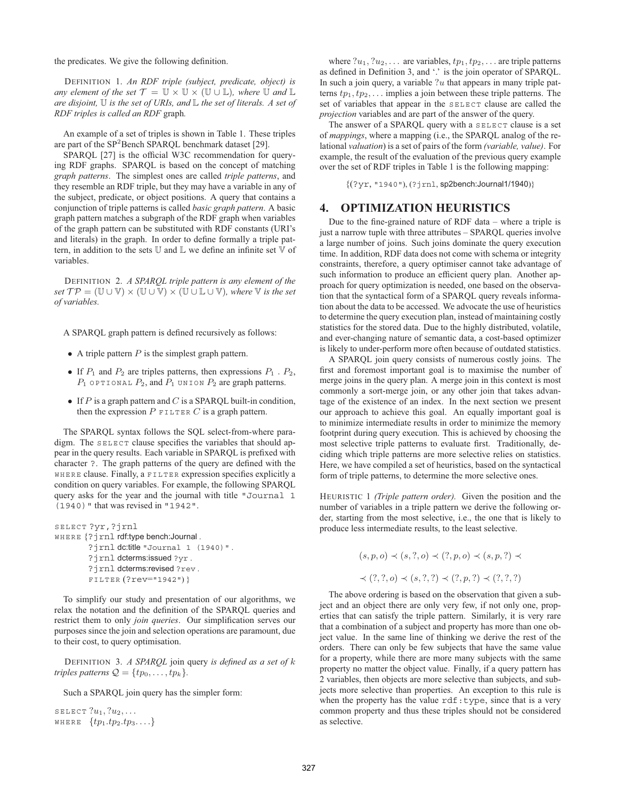the predicates. We give the following definition.

DEFINITION 1. *An RDF triple (subject, predicate, object) is any element of the set*  $\mathcal{T} = \mathbb{U} \times \mathbb{U} \times (\mathbb{U} \cup \mathbb{L})$ *, where*  $\mathbb{U}$  *and*  $\mathbb{L}$ *are disjoint,* U *is the set of URIs, and* L *the set of literals. A set of RDF triples is called an RDF* graph*.*

An example of a set of triples is shown in Table 1. These triples are part of the  $SP<sup>2</sup>Bench SPARQL benchmark dataset$  [29].

SPARQL [27] is the official W3C recommendation for querying RDF graphs. SPARQL is based on the concept of matching *graph patterns*. The simplest ones are called *triple patterns*, and they resemble an RDF triple, but they may have a variable in any of the subject, predicate, or object positions. A query that contains a conjunction of triple patterns is called *basic graph pattern*. A basic graph pattern matches a subgraph of the RDF graph when variables of the graph pattern can be substituted with RDF constants (URI's and literals) in the graph. In order to define formally a triple pattern, in addition to the sets U and L we define an infinite set V of variables.

DEFINITION 2. *A SPARQL triple pattern is any element of the*  $set$   $\mathcal{TP}$  = ( $\mathbb{U} \cup \mathbb{V}$ ) × ( $\mathbb{U} \cup \mathbb{V}$ ) × ( $\mathbb{U} \cup \mathbb{L} \cup \mathbb{V}$ )*, where*  $\mathbb{V}$  *is the set of variables.*

A SPARQL graph pattern is defined recursively as follows:

- A triple pattern  $P$  is the simplest graph pattern.
- If  $P_1$  and  $P_2$  are triples patterns, then expressions  $P_1$ .  $P_2$ ,  $P_1$  OPTIONAL  $P_2$ , and  $P_1$  UNION  $P_2$  are graph patterns.
- If  $P$  is a graph pattern and  $C$  is a SPARQL built-in condition, then the expression  $P$  FILTER  $C$  is a graph pattern.

The SPARQL syntax follows the SQL select-from-where paradigm. The SELECT clause specifies the variables that should appear in the query results. Each variable in SPARQL is prefixed with character ?. The graph patterns of the query are defined with the WHERE clause. Finally, a FILTER expression specifies explicitly a condition on query variables. For example, the following SPARQL query asks for the year and the journal with title "Journal 1 (1940)" that was revised in "1942".

```
SELECT ?yr,?jrnl
WHERE \{?irnl rdf:type bench:Journal.
        ?jrnl dc:title "Journal 1 (1940)".
        ?irnl dcterms:issued ?vr.
        ?jrnl dcterms:revised ?rev.
        FILTER (?rev="1942") }
```
To simplify our study and presentation of our algorithms, we relax the notation and the definition of the SPARQL queries and restrict them to only *join queries*. Our simplification serves our purposes since the join and selection operations are paramount, due to their cost, to query optimisation.

DEFINITION 3. *A SPARQL* join query *is defined as a set of* k *triples patterns*  $Q = \{tp_0, \ldots, tp_k\}.$ 

Such a SPARQL join query has the simpler form:

SELECT  $?u_1, ?u_2, \ldots$ WHERE  ${tp_1.tp_2.tp_3...}$ 

where  $?u_1, ?u_2, \ldots$  are variables,  $tp_1, tp_2, \ldots$  are triple patterns as defined in Definition 3, and '.' is the join operator of SPARQL. In such a join query, a variable  $?u$  that appears in many triple patterns  $tp_1, tp_2, \ldots$  implies a join between these triple patterns. The set of variables that appear in the SELECT clause are called the *projection* variables and are part of the answer of the query.

The answer of a SPARQL query with a SELECT clause is a set of *mappings*, where a mapping (i.e., the SPARQL analog of the relational *valuation*) is a set of pairs of the form *(variable, value)*. For example, the result of the evaluation of the previous query example over the set of RDF triples in Table 1 is the following mapping:

{(?yr, "1940"), (?jrnl, sp2bench:Journal1/1940)}

## **4. OPTIMIZATION HEURISTICS**

Due to the fine-grained nature of RDF data – where a triple is just a narrow tuple with three attributes – SPARQL queries involve a large number of joins. Such joins dominate the query execution time. In addition, RDF data does not come with schema or integrity constraints, therefore, a query optimiser cannot take advantage of such information to produce an efficient query plan. Another approach for query optimization is needed, one based on the observation that the syntactical form of a SPARQL query reveals information about the data to be accessed. We advocate the use of heuristics to determine the query execution plan, instead of maintaining costly statistics for the stored data. Due to the highly distributed, volatile, and ever-changing nature of semantic data, a cost-based optimizer is likely to under-perform more often because of outdated statistics.

A SPARQL join query consists of numerous costly joins. The first and foremost important goal is to maximise the number of merge joins in the query plan. A merge join in this context is most commonly a sort-merge join, or any other join that takes advantage of the existence of an index. In the next section we present our approach to achieve this goal. An equally important goal is to minimize intermediate results in order to minimize the memory footprint during query execution. This is achieved by choosing the most selective triple patterns to evaluate first. Traditionally, deciding which triple patterns are more selective relies on statistics. Here, we have compiled a set of heuristics, based on the syntactical form of triple patterns, to determine the more selective ones.

HEURISTIC 1 *(Triple pattern order).* Given the position and the number of variables in a triple pattern we derive the following order, starting from the most selective, i.e., the one that is likely to produce less intermediate results, to the least selective.

$$
(s, p, o) \prec (s, ?, o) \prec (?, p, o) \prec (s, p, ?) \prec
$$
  

$$
\prec (?, ?, o) \prec (s, ?, ?) \prec (?, p, ?) \prec (?, ?, ?)
$$

The above ordering is based on the observation that given a subject and an object there are only very few, if not only one, properties that can satisfy the triple pattern. Similarly, it is very rare that a combination of a subject and property has more than one object value. In the same line of thinking we derive the rest of the orders. There can only be few subjects that have the same value for a property, while there are more many subjects with the same property no matter the object value. Finally, if a query pattern has 2 variables, then objects are more selective than subjects, and subjects more selective than properties. An exception to this rule is when the property has the value  $\text{rdf:type}$ , since that is a very common property and thus these triples should not be considered as selective.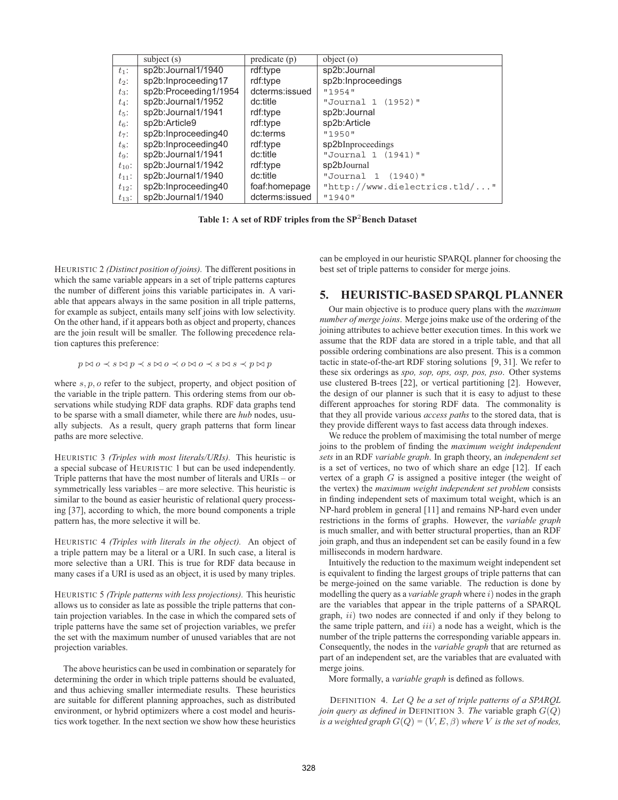|            | subject $(s)$         | predicate(p)   | object(0)                     |
|------------|-----------------------|----------------|-------------------------------|
| $t_1$ :    | sp2b:Journal1/1940    | rdf:type       | sp2b:Journal                  |
| $t_2$ :    | sp2b:Inproceeding17   | rdf:type       | sp2b:Inproceedings            |
| $t_3$ :    | sp2b:Proceeding1/1954 | dcterms:issued | "1954"                        |
| $t_4$ :    | sp2b:Journal1/1952    | dc:title       | "Journal 1 (1952)"            |
| $t_{5}$ :  | sp2b:Journal1/1941    | rdf:type       | sp2b:Journal                  |
| $t_6$ :    | sp2b:Article9         | rdf:type       | sp2b:Article                  |
| $t_7$ :    | sp2b:Inproceeding40   | dc:terms       | "1950"                        |
| $t_8$ :    | sp2b:Inproceeding40   | rdf:type       | sp2bInproceedings             |
| $t_9$ :    | sp2b:Journal1/1941    | dc:title       | "Journal 1 (1941)"            |
| $t_{10}$ : | sp2b:Journal1/1942    | rdf:type       | sp2bJournal                   |
| $t_{11}$ : | sp2b:Journal1/1940    | dc:title       | "Journal 1 (1940)"            |
| $t_{12}$ : | sp2b:Inproceeding40   | foaf:homepage  | "http://www.dielectrics.tld/" |
| $t_{13}$ : | sp2b:Journal1/1940    | dcterms:issued | "1940"                        |

**Table 1: A set of RDF triples from the SP**<sup>2</sup>**Bench Dataset**

HEURISTIC 2 *(Distinct position of joins).* The different positions in which the same variable appears in a set of triple patterns captures the number of different joins this variable participates in. A variable that appears always in the same position in all triple patterns, for example as subject, entails many self joins with low selectivity. On the other hand, if it appears both as object and property, chances are the join result will be smaller. The following precedence relation captures this preference:

$$
p \bowtie o \prec s \bowtie p \prec s \bowtie o \prec o \bowtie o \prec s \bowtie s \prec p \bowtie p
$$

where  $s, p, o$  refer to the subject, property, and object position of the variable in the triple pattern. This ordering stems from our observations while studying RDF data graphs. RDF data graphs tend to be sparse with a small diameter, while there are *hub* nodes, usually subjects. As a result, query graph patterns that form linear paths are more selective.

HEURISTIC 3 *(Triples with most literals/URIs).* This heuristic is a special subcase of HEURISTIC 1 but can be used independently. Triple patterns that have the most number of literals and URIs – or symmetrically less variables – are more selective. This heuristic is similar to the bound as easier heuristic of relational query processing [37], according to which, the more bound components a triple pattern has, the more selective it will be.

HEURISTIC 4 *(Triples with literals in the object).* An object of a triple pattern may be a literal or a URI. In such case, a literal is more selective than a URI. This is true for RDF data because in many cases if a URI is used as an object, it is used by many triples.

HEURISTIC 5 *(Triple patterns with less projections).* This heuristic allows us to consider as late as possible the triple patterns that contain projection variables. In the case in which the compared sets of triple patterns have the same set of projection variables, we prefer the set with the maximum number of unused variables that are not projection variables.

The above heuristics can be used in combination or separately for determining the order in which triple patterns should be evaluated, and thus achieving smaller intermediate results. These heuristics are suitable for different planning approaches, such as distributed environment, or hybrid optimizers where a cost model and heuristics work together. In the next section we show how these heuristics can be employed in our heuristic SPARQL planner for choosing the best set of triple patterns to consider for merge joins.

### **5. HEURISTIC-BASED SPARQL PLANNER**

Our main objective is to produce query plans with the *maximum number of merge joins*. Merge joins make use of the ordering of the joining attributes to achieve better execution times. In this work we assume that the RDF data are stored in a triple table, and that all possible ordering combinations are also present. This is a common tactic in state-of-the-art RDF storing solutions [9, 31]. We refer to these six orderings as *spo, sop, ops, osp, pos, pso*. Other systems use clustered B-trees [22], or vertical partitioning [2]. However, the design of our planner is such that it is easy to adjust to these different approaches for storing RDF data. The commonality is that they all provide various *access paths* to the stored data, that is they provide different ways to fast access data through indexes.

We reduce the problem of maximising the total number of merge joins to the problem of finding the *maximum weight independent sets* in an RDF *variable graph*. In graph theory, an *independent set* is a set of vertices, no two of which share an edge [12]. If each vertex of a graph G is assigned a positive integer (the weight of the vertex) the *maximum weight independent set problem* consists in finding independent sets of maximum total weight, which is an NP-hard problem in general [11] and remains NP-hard even under restrictions in the forms of graphs. However, the *variable graph* is much smaller, and with better structural properties, than an RDF join graph, and thus an independent set can be easily found in a few milliseconds in modern hardware.

Intuitively the reduction to the maximum weight independent set is equivalent to finding the largest groups of triple patterns that can be merge-joined on the same variable. The reduction is done by modelling the query as a *variable graph* where i) nodes in the graph are the variables that appear in the triple patterns of a SPARQL graph, *ii*) two nodes are connected if and only if they belong to the same triple pattern, and iii) a node has a weight, which is the number of the triple patterns the corresponding variable appears in. Consequently, the nodes in the *variable graph* that are returned as part of an independent set, are the variables that are evaluated with merge joins.

More formally, a *variable graph* is defined as follows.

DEFINITION 4. *Let* Q *be a set of triple patterns of a SPARQL join query as defined in* DEFINITION 3. The variable graph  $G(Q)$ *is a weighted graph*  $G(Q) = (V, E, \beta)$  *where V is the set of nodes,*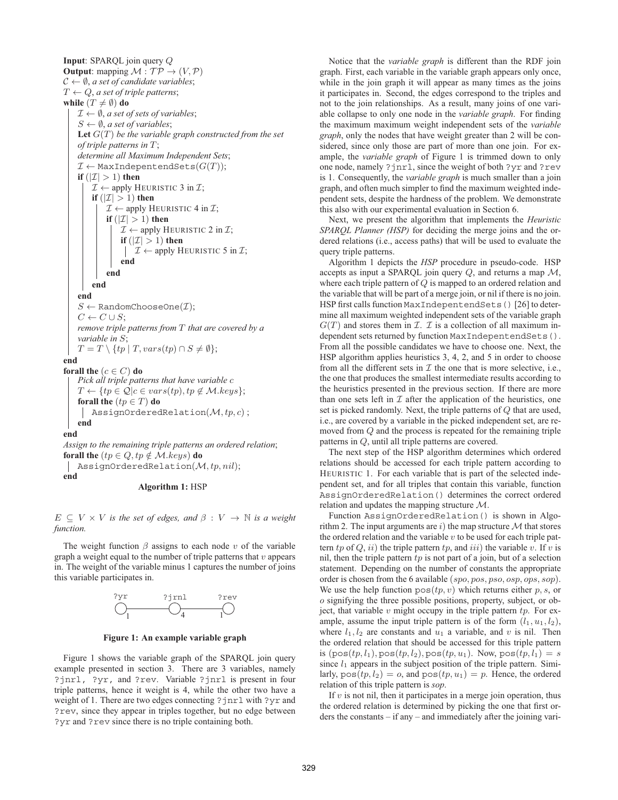**Input**: SPARQL join query Q **Output**: mapping  $M : \mathcal{TP} \rightarrow (V, \mathcal{P})$  $C \leftarrow \emptyset$ , *a set of candidate variables*;  $T \leftarrow Q$ , *a set of triple patterns*; **while**  $(T \neq \emptyset)$  **do**  $\mathcal{I} \leftarrow \emptyset$ , *a set of sets of variables*;  $S \leftarrow \emptyset$ , *a set of variables*; **Let** G(T) *be the variable graph constructed from the set of triple patterns in* T; *determine all Maximum Independent Sets*;  $\mathcal{I} \leftarrow$  MaxIndepentendSets $(G(T));$ **if**  $(|\mathcal{I}| > 1)$  **then**  $\mathcal{I} \leftarrow$  apply HEURISTIC 3 in  $\mathcal{I}$ ; **if**  $(|\mathcal{I}| > 1)$  **then**  $\mathcal{I} \leftarrow$  apply HEURISTIC 4 in  $\mathcal{I}$ ; **if**  $(|\mathcal{I}| > 1)$  **then**  $\mathcal{I} \leftarrow$  apply HEURISTIC 2 in  $\mathcal{I}$ ; **if**  $(|\mathcal{I}| > 1)$  **then**  $\vert \mathcal{I} \leftarrow$  apply HEURISTIC 5 in  $\mathcal{I}$ ; **end end end end**  $S \leftarrow$  RandomChooseOne $(\mathcal{I});$  $C \leftarrow C \cup S;$ *remove triple patterns from* T *that are covered by a variable in* S;  $T = T \setminus \{tp \mid T, vars(tp) \cap S \neq \emptyset\};$ **end forall the**  $(c \in C)$  **do** *Pick all triple patterns that have variable* c  $T \leftarrow \{tp \in \mathcal{Q} | c \in vars(tp), tp \notin \mathcal{M}.keys\};$ **forall the**  $(tp \in T)$  **do** AssignOrderedRelation $(M, tp, c)$ ; **end end** *Assign to the remaining triple patterns an ordered relation*; **forall the**  $(tp \in Q, tp \notin M.keys)$  **do** | AssignOrderedRelation $(M, tp, nil);$ 

**end**

#### **Algorithm 1:** HSP

 $E \subseteq V \times V$  *is the set of edges, and*  $\beta : V \to \mathbb{N}$  *is a weight function.*

The weight function  $\beta$  assigns to each node v of the variable graph a weight equal to the number of triple patterns that  $v$  appears in. The weight of the variable minus 1 captures the number of joins this variable participates in.



**Figure 1: An example variable graph**

Figure 1 shows the variable graph of the SPARQL join query example presented in section 3. There are 3 variables, namely ?jnrl, ?yr, and ?rev. Variable ?jnrl is present in four triple patterns, hence it weight is 4, while the other two have a weight of 1. There are two edges connecting ?jnrl with ?yr and ?rev, since they appear in triples together, but no edge between ?yr and ?rev since there is no triple containing both.

Notice that the *variable graph* is different than the RDF join graph. First, each variable in the variable graph appears only once, while in the join graph it will appear as many times as the joins it participates in. Second, the edges correspond to the triples and not to the join relationships. As a result, many joins of one variable collapse to only one node in the *variable graph*. For finding the maximum maximum weight independent sets of the *variable graph*, only the nodes that have weight greater than 2 will be considered, since only those are part of more than one join. For example, the *variable graph* of Figure 1 is trimmed down to only one node, namely ?jnrl, since the weight of both ?yr and ?rev is 1. Consequently, the *variable graph* is much smaller than a join graph, and often much simpler to find the maximum weighted independent sets, despite the hardness of the problem. We demonstrate this also with our experimental evaluation in Section 6.

Next, we present the algorithm that implements the *Heuristic SPARQL Planner (HSP)* for deciding the merge joins and the ordered relations (i.e., access paths) that will be used to evaluate the query triple patterns.

Algorithm 1 depicts the *HSP* procedure in pseudo-code. HSP accepts as input a SPARQL join query  $Q$ , and returns a map  $M$ , where each triple pattern of  $Q$  is mapped to an ordered relation and the variable that will be part of a merge join, or nil if there is no join. HSP first calls function MaxIndepentendSets() [26] to determine all maximum weighted independent sets of the variable graph  $G(T)$  and stores them in  $\mathcal I$ .  $\mathcal I$  is a collection of all maximum independent sets returned by function MaxIndepentendSets(). From all the possible candidates we have to choose one. Next, the HSP algorithm applies heuristics 3, 4, 2, and 5 in order to choose from all the different sets in  $\mathcal I$  the one that is more selective, i.e., the one that produces the smallest intermediate results according to the heuristics presented in the previous section. If there are more than one sets left in  $\mathcal I$  after the application of the heuristics, one set is picked randomly. Next, the triple patterns of Q that are used, i.e., are covered by a variable in the picked independent set, are removed from Q and the process is repeated for the remaining triple patterns in Q, until all triple patterns are covered.

The next step of the HSP algorithm determines which ordered relations should be accessed for each triple pattern according to HEURISTIC 1. For each variable that is part of the selected independent set, and for all triples that contain this variable, function AssignOrderedRelation() determines the correct ordered relation and updates the mapping structure M.

Function AssignOrderedRelation() is shown in Algorithm 2. The input arguments are  $i)$  the map structure  $M$  that stores the ordered relation and the variable  $v$  to be used for each triple pattern  $tp$  of  $Q$ ,  $ii)$  the triple pattern  $tp$ , and  $iii)$  the variable v. If v is nil, then the triple pattern  $tp$  is not part of a join, but of a selection statement. Depending on the number of constants the appropriate order is chosen from the 6 available (spo, pos, pso, osp, ops, sop). We use the help function  $pos(tp, v)$  which returns either p, s, or o signifying the three possible positions, property, subject, or object, that variable  $v$  might occupy in the triple pattern  $tp$ . For example, assume the input triple pattern is of the form  $(l_1, u_1, l_2)$ , where  $l_1, l_2$  are constants and  $u_1$  a variable, and v is nil. Then the ordered relation that should be accessed for this triple pattern is  $(\text{pos}(tp, l_1), \text{pos}(tp, l_2), \text{pos}(tp, u_1)$ . Now,  $\text{pos}(tp, l_1) = s$ since  $l_1$  appears in the subject position of the triple pattern. Similarly,  $pos(tp, l_2) = o$ , and  $pos(tp, u_1) = p$ . Hence, the ordered relation of this triple pattern is *sop*.

If  $v$  is not nil, then it participates in a merge join operation, thus the ordered relation is determined by picking the one that first orders the constants – if any – and immediately after the joining vari-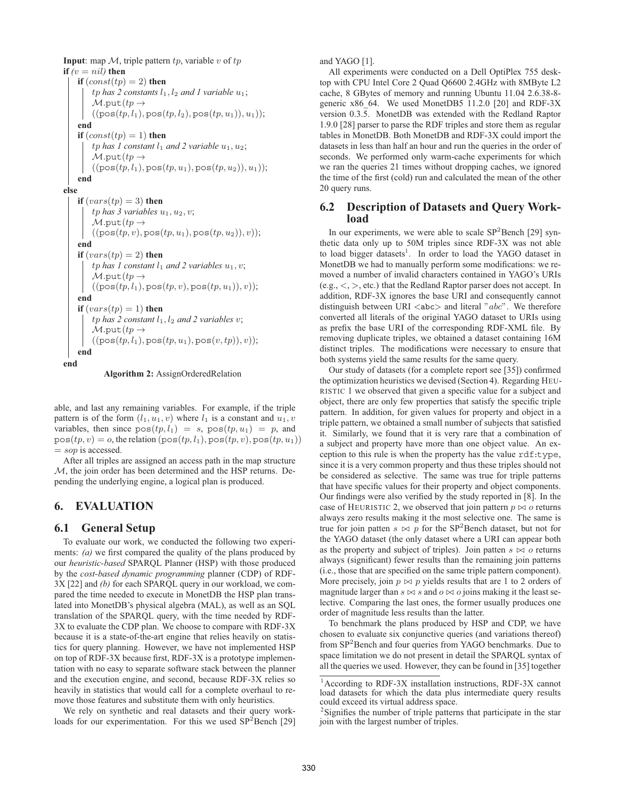```
Input: map M, triple pattern tp, variable v of tpif (v = nil) then
    if (const(tp) = 2) then
         tp has 2 constants l_1, l_2 and 1 variable u_1;
          M.\text{put}(tp \rightarrow((\text{pos}(tp, l_1), \text{pos}(tp, l_2), \text{pos}(tp, u_1)), u_1));end
    if (const(tp) = 1) then
         tp has 1 constant l_1 and 2 variable u_1, u_2;
          M.\text{put}(tp \rightarrow((\text{pos}(tp, l_1), \text{pos}(tp, u_1), \text{pos}(tp, u_2)), u_1));end
else
    if (vars(tp) = 3) then
         tp has 3 variables u_1, u_2, v;M.\text{put}(tp \rightarrow((\text{pos}(tp, v), \text{pos}(tp, u_1), \text{pos}(tp, u_2)), v));end
    if (vars(tp) = 2) then
         tp has 1 constant l_1 and 2 variables u_1, v;M.\text{put}(tp \rightarrow((\text{pos}(tp, l_1), \text{pos}(tp, v), \text{pos}(tp, u_1)), v));end
    if (vars(tp) = 1) then
         tp has 2 constant l_1, l_2 and 2 variables v;
          M.\text{put}(tp \rightarrow((\text{pos}(tp, l_1), \text{pos}(tp, u_1), \text{pos}(v, tp)), v));end
end
```
**Algorithm 2:** AssignOrderedRelation

able, and last any remaining variables. For example, if the triple pattern is of the form  $(l_1, u_1, v)$  where  $l_1$  is a constant and  $u_1, v$ variables, then since  $pos(tp, l_1) = s$ ,  $pos(tp, u_1) = p$ , and  $pos(tp, v) = o$ , the relation  $(pos(tp, l_1), pos(tp, v), pos(tp, u_1))$  $=$  sop is accessed.

After all triples are assigned an access path in the map structure M, the join order has been determined and the HSP returns. Depending the underlying engine, a logical plan is produced.

# **6. EVALUATION**

## **6.1 General Setup**

To evaluate our work, we conducted the following two experiments: *(a)* we first compared the quality of the plans produced by our *heuristic-based* SPARQL Planner (HSP) with those produced by the *cost-based dynamic programming* planner (CDP) of RDF-3X [22] and *(b)* for each SPARQL query in our workload, we compared the time needed to execute in MonetDB the HSP plan translated into MonetDB's physical algebra (MAL), as well as an SQL translation of the SPARQL query, with the time needed by RDF-3X to evaluate the CDP plan. We choose to compare with RDF-3X because it is a state-of-the-art engine that relies heavily on statistics for query planning. However, we have not implemented HSP on top of RDF-3X because first, RDF-3X is a prototype implementation with no easy to separate software stack between the planner and the execution engine, and second, because RDF-3X relies so heavily in statistics that would call for a complete overhaul to remove those features and substitute them with only heuristics.

We rely on synthetic and real datasets and their query workloads for our experimentation. For this we used  $SP<sup>2</sup>$ Bench [29] and YAGO [1].

All experiments were conducted on a Dell OptiPlex 755 desktop with CPU Intel Core 2 Quad Q6600 2.4GHz with 8MByte L2 cache, 8 GBytes of memory and running Ubuntu 11.04 2.6.38-8 generic  $x8664$ . We used MonetDB5 11.2.0 [20] and RDF-3X version 0.3.5. MonetDB was extended with the Redland Raptor 1.9.0 [28] parser to parse the RDF triples and store them as regular tables in MonetDB. Both MonetDB and RDF-3X could import the datasets in less than half an hour and run the queries in the order of seconds. We performed only warm-cache experiments for which we ran the queries 21 times without dropping caches, we ignored the time of the first (cold) run and calculated the mean of the other 20 query runs.

## **6.2 Description of Datasets and Query Workload**

In our experiments, we were able to scale  $SP<sup>2</sup>$ Bench [29] synthetic data only up to 50M triples since RDF-3X was not able to load bigger datasets<sup>1</sup>. In order to load the YAGO dataset in MonetDB we had to manually perform some modifications: we removed a number of invalid characters contained in YAGO's URIs  $(e.g., <, >, etc.)$  that the Redland Raptor parser does not accept. In addition, RDF-3X ignores the base URI and consequently cannot distinguish between URI  $\langle \text{abc} \rangle$  and literal "abc". We therefore converted all literals of the original YAGO dataset to URIs using as prefix the base URI of the corresponding RDF-XML file. By removing duplicate triples, we obtained a dataset containing 16M distinct triples. The modifications were necessary to ensure that both systems yield the same results for the same query.

Our study of datasets (for a complete report see [35]) confirmed the optimization heuristics we devised (Section 4). Regarding HEU-RISTIC 1 we observed that given a specific value for a subject and object, there are only few properties that satisfy the specific triple pattern. In addition, for given values for property and object in a triple pattern, we obtained a small number of subjects that satisfied it. Similarly, we found that it is very rare that a combination of a subject and property have more than one object value. An exception to this rule is when the property has the value rdf:type, since it is a very common property and thus these triples should not be considered as selective. The same was true for triple patterns that have specific values for their property and object components. Our findings were also verified by the study reported in [8]. In the case of HEURISTIC 2, we observed that join pattern  $p \bowtie o$  returns always zero results making it the most selective one. The same is true for join patten  $s \bowtie p$  for the SP<sup>2</sup>Bench dataset, but not for the YAGO dataset (the only dataset where a URI can appear both as the property and subject of triples). Join patten  $s \bowtie o$  returns always (significant) fewer results than the remaining join patterns (i.e., those that are specified on the same triple pattern component). More precisely, join  $p \bowtie p$  yields results that are 1 to 2 orders of magnitude larger than  $s \bowtie s$  and  $o \bowtie o$  joins making it the least selective. Comparing the last ones, the former usually produces one order of magnitude less results than the latter.

To benchmark the plans produced by HSP and CDP, we have chosen to evaluate six conjunctive queries (and variations thereof) from SP<sup>2</sup>Bench and four queries from YAGO benchmarks. Due to space limitation we do not present in detail the SPARQL syntax of all the queries we used. However, they can be found in [35] together

<sup>&</sup>lt;sup>1</sup> According to RDF-3X installation instructions, RDF-3X cannot load datasets for which the data plus intermediate query results could exceed its virtual address space.

<sup>&</sup>lt;sup>2</sup>Signifies the number of triple patterns that participate in the star join with the largest number of triples.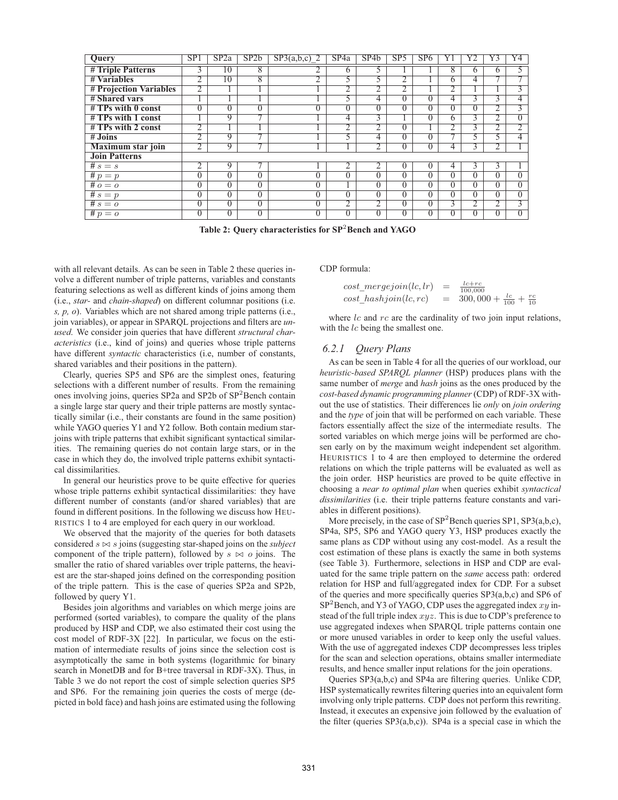| Query                             | SP1            | SP2a            | SP2b     | $SP3(a,b,c)$ <sup>2</sup> | SP4a           | SP4b           | SP5            | SP6            | Y1       | Y2             | Y 5      | $\overline{\text{Y4}}$ |
|-----------------------------------|----------------|-----------------|----------|---------------------------|----------------|----------------|----------------|----------------|----------|----------------|----------|------------------------|
| # Triple Patterns                 |                | $\overline{10}$ | 8        |                           | 6              |                |                |                | 8        | <sub>6</sub>   | 6        |                        |
| # Variables                       |                | 10              | 8        |                           |                |                |                |                | 6        | 4              |          |                        |
| <b># Projection Variables</b>     |                |                 |          |                           | 2              |                |                |                |          |                |          |                        |
| # Shared vars                     |                |                 |          |                           | 5              | 4              | 0              | $\Omega$       | 4        | $\overline{3}$ | 3        | 4                      |
| # TPs with 0 const                | 0              | $\Omega$        | $\theta$ |                           | $\theta$       | $\Omega$       | $\overline{0}$ | $\Omega$       | $\theta$ | $\theta$       | 2        | $\overline{3}$         |
| # TPs with 1 const                |                | 9               |          |                           | 4              | 3              |                | $\overline{0}$ | 6        | 3              | 2        | $\Omega$               |
| # TPs with 2 const                | ົ              |                 |          |                           | 2              | 2              | 0              |                | 2        | <sup>+</sup>   | 2        | 2                      |
| $#$ Joins                         | $\overline{2}$ | 9               |          |                           | 5              | 4              | $\overline{0}$ | $\overline{0}$ | ⇁        | $\overline{5}$ | 3        | 4                      |
| Maximum star join                 | 2              | 9               |          |                           |                | っ              | $\theta$       | $\Omega$       | 4        | ć              | 2        |                        |
| <b>Join Patterns</b>              |                |                 |          |                           |                |                |                |                |          |                |          |                        |
| $\overline{\# s} = s$             |                | 9               |          |                           | ጣ              |                | 0              | v              | 4        |                |          |                        |
| # $p = p$                         |                | 0               | U        |                           | $\overline{0}$ | 0              | $^{(1)}$       | $\theta$       | 0        | $\theta$       | 0        | 0                      |
| # $\overline{o}$ = $\overline{o}$ | $\Omega$       | $\Omega$        | $\Omega$ | $\Omega$                  |                | $\Omega$       | $\Omega$       | $\Omega$       | $\theta$ | $\Omega$       | $\Omega$ | $\Omega$               |
| # $s = p$                         |                | $\Omega$        | $\Omega$ | 0                         | $\Omega$       | $\overline{0}$ | 0              | $\overline{0}$ | $\Omega$ | $\Omega$       | $\Omega$ | $\Omega$               |
| # $s = 0$                         |                | $\overline{0}$  | 0        |                           | 2              | ᠴ              | 0              | $\overline{0}$ | 3        |                | 2        |                        |
| # $p = o$                         |                | 0               | 0        |                           | 0              |                | $\theta$       | $\Omega$       | 0        |                | 0        | 0                      |

**Table 2: Query characteristics for SP**<sup>2</sup>**Bench and YAGO**

with all relevant details. As can be seen in Table 2 these queries involve a different number of triple patterns, variables and constants featuring selections as well as different kinds of joins among them (i.e., *star-* and *chain-shaped*) on different columnar positions (i.e. *s, p, o*). Variables which are not shared among triple patterns (i.e., join variables), or appear in SPARQL projections and filters are *unused*. We consider join queries that have different *structural characteristics* (i.e., kind of joins) and queries whose triple patterns have different *syntactic* characteristics (i.e, number of constants, shared variables and their positions in the pattern).

Clearly, queries SP5 and SP6 are the simplest ones, featuring selections with a different number of results. From the remaining ones involving joins, queries SP2a and SP2b of SP<sup>2</sup>Bench contain a single large star query and their triple patterns are mostly syntactically similar (i.e., their constants are found in the same position) while YAGO queries Y1 and Y2 follow. Both contain medium starjoins with triple patterns that exhibit significant syntactical similarities. The remaining queries do not contain large stars, or in the case in which they do, the involved triple patterns exhibit syntactical dissimilarities.

In general our heuristics prove to be quite effective for queries whose triple patterns exhibit syntactical dissimilarities: they have different number of constants (and/or shared variables) that are found in different positions. In the following we discuss how HEU-RISTICS 1 to 4 are employed for each query in our workload.

We observed that the majority of the queries for both datasets considered  $s \bowtie s$  joins (suggesting star-shaped joins on the *subject* component of the triple pattern), followed by  $s \bowtie o$  joins. The smaller the ratio of shared variables over triple patterns, the heaviest are the star-shaped joins defined on the corresponding position of the triple pattern. This is the case of queries SP2a and SP2b, followed by query Y1.

Besides join algorithms and variables on which merge joins are performed (sorted variables), to compare the quality of the plans produced by HSP and CDP, we also estimated their cost using the cost model of RDF-3X [22]. In particular, we focus on the estimation of intermediate results of joins since the selection cost is asymptotically the same in both systems (logarithmic for binary search in MonetDB and for B+tree traversal in RDF-3X). Thus, in Table 3 we do not report the cost of simple selection queries SP5 and SP6. For the remaining join queries the costs of merge (depicted in bold face) and hash joins are estimated using the following CDP formula:

$$
\begin{array}{rcl} cost\_mergejoin(lc,lr) & = & \frac{l c + rc}{100,000} \\ cost\_hashjoin(lc,rc) & = & 300,000 + \frac{l c}{100} + \frac{rc}{10} \end{array}
$$

where  $lc$  and  $rc$  are the cardinality of two join input relations, with the *lc* being the smallest one.

#### *6.2.1 Query Plans*

As can be seen in Table 4 for all the queries of our workload, our *heuristic-based SPARQL planner* (HSP) produces plans with the same number of *merge* and *hash* joins as the ones produced by the *cost-based dynamic programming planner* (CDP) of RDF-3X without the use of statistics. Their differences lie *only* on *join ordering* and the *type* of join that will be performed on each variable. These factors essentially affect the size of the intermediate results. The sorted variables on which merge joins will be performed are chosen early on by the maximum weight independent set algorithm. HEURISTICS 1 to 4 are then employed to determine the ordered relations on which the triple patterns will be evaluated as well as the join order. HSP heuristics are proved to be quite effective in choosing a *near to optimal plan* when queries exhibit *syntactical dissimilarities* (i.e. their triple patterns feature constants and variables in different positions).

More precisely, in the case of  $SP<sup>2</sup>$ Bench queries SP1, SP3(a,b,c), SP4a, SP5, SP6 and YAGO query Y3, HSP produces exactly the same plans as CDP without using any cost-model. As a result the cost estimation of these plans is exactly the same in both systems (see Table 3). Furthermore, selections in HSP and CDP are evaluated for the same triple pattern on the *same* access path: ordered relation for HSP and full/aggregated index for CDP. For a subset of the queries and more specifically queries SP3(a,b,c) and SP6 of  $SP<sup>2</sup>$ Bench, and Y3 of YAGO, CDP uses the aggregated index  $xy$  instead of the full triple index  $xyz$ . This is due to CDP's preference to use aggregated indexes when SPARQL triple patterns contain one or more unused variables in order to keep only the useful values. With the use of aggregated indexes CDP decompresses less triples for the scan and selection operations, obtains smaller intermediate results, and hence smaller input relations for the join operations.

Queries SP3(a,b,c) and SP4a are filtering queries. Unlike CDP, HSP systematically rewrites filtering queries into an equivalent form involving only triple patterns. CDP does not perform this rewriting. Instead, it executes an expensive join followed by the evaluation of the filter (queries  $SP3(a,b,c)$ ). SP4a is a special case in which the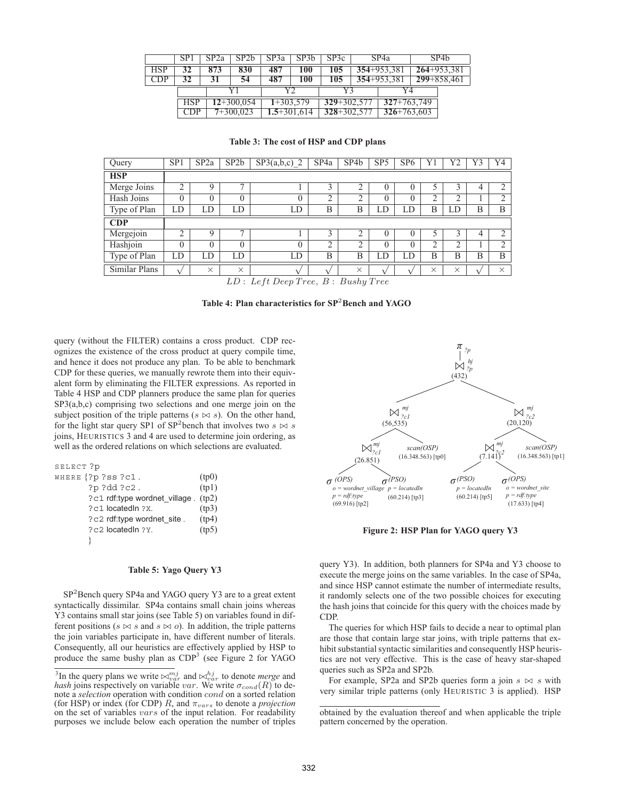|     | SP1        | SP <sub>2</sub> a | SP <sub>2</sub> b | SP3a            | SP3b | SP3c            |  | SP <sub>4</sub> a |  | SP <sub>4</sub> b |
|-----|------------|-------------------|-------------------|-----------------|------|-----------------|--|-------------------|--|-------------------|
|     |            | 873               | 830               | 487             | 100  | 105             |  | 354+953,381       |  | 264+953,381       |
| :DP |            |                   |                   |                 | 100  | 105             |  | 354+953,381       |  | $299 + 858,461$   |
|     |            |                   |                   |                 |      |                 |  |                   |  |                   |
|     | <b>HSP</b> | $12+300,054$      |                   | $1+303,579$     |      | $329 + 302,577$ |  | $327+763,749$     |  |                   |
|     |            |                   | $7+300,023$       | $1.5 + 301.614$ |      | 328+302.577     |  | $326+763,603$     |  |                   |

| Query         | SP <sub>1</sub> | SP2a     | SP2b     | $SP3(a,b,c)$ <sup>2</sup> | SP <sub>4</sub> a | SP4b     | SP <sub>5</sub> | SP <sub>6</sub> | Y1             | Y2       | Y3 | Y <sub>4</sub>                          |  |  |  |  |  |  |  |  |  |  |
|---------------|-----------------|----------|----------|---------------------------|-------------------|----------|-----------------|-----------------|----------------|----------|----|-----------------------------------------|--|--|--|--|--|--|--|--|--|--|
| <b>HSP</b>    |                 |          |          |                           |                   |          |                 |                 |                |          |    |                                         |  |  |  |  |  |  |  |  |  |  |
| Merge Joins   | ↑               | q        | ⇁        |                           | 3                 |          | 0               | O               |                |          | 4  | $\bigcirc$                              |  |  |  |  |  |  |  |  |  |  |
| Hash Joins    | $\theta$        | 0        | $\Omega$ |                           | $\bigcirc$        | ◠        | $\theta$        | $\theta$        | ◠              |          |    | $\bigcap$                               |  |  |  |  |  |  |  |  |  |  |
| Type of Plan  | LD              | LD       | LD       | LD                        | B                 | B        | LD              | LD              | B              | LD       | B  | B                                       |  |  |  |  |  |  |  |  |  |  |
| CDP           |                 |          |          |                           |                   |          |                 |                 |                |          |    |                                         |  |  |  |  |  |  |  |  |  |  |
| Mergejoin     | ↑               | q        | ⇁        |                           | ੨                 |          | 0               | 0               |                |          | 4  | $\bigcirc$                              |  |  |  |  |  |  |  |  |  |  |
| Hashjoin      | $\theta$        | 0        | $\Omega$ | $\theta$                  | $\overline{2}$    | ↑        | $\theta$        | $\theta$        | $\overline{2}$ |          |    | $\bigcap$                               |  |  |  |  |  |  |  |  |  |  |
| Type of Plan  | LD              | LD       | LD       | LD                        | B                 | B        | LD              | LD              | B              | B        | B  | B                                       |  |  |  |  |  |  |  |  |  |  |
| Similar Plans |                 | $\times$ | $\times$ |                           | $\Delta$          | $\times$ |                 |                 | $\times$       | $\times$ |    | $\times$                                |  |  |  |  |  |  |  |  |  |  |
|               |                 |          | ID.      |                           | $R \cdot$         |          |                 |                 |                |          |    | $I$ of $t$ Doon Tree<br>$B_u$ chai Tree |  |  |  |  |  |  |  |  |  |  |

#### **Table 3: The cost of HSP and CDP plans**

Lejt Deep I ree, B: Bushy I ree

**Table 4: Plan characteristics for SP**<sup>2</sup>**Bench and YAGO**

query (without the FILTER) contains a cross product. CDP recognizes the existence of the cross product at query compile time, and hence it does not produce any plan. To be able to benchmark CDP for these queries, we manually rewrote them into their equivalent form by eliminating the FILTER expressions. As reported in Table 4 HSP and CDP planners produce the same plan for queries SP3(a,b,c) comprising two selections and one merge join on the subject position of the triple patterns  $(s \bowtie s)$ . On the other hand, for the light star query SP1 of SP<sup>2</sup>bench that involves two  $s \bowtie s$ joins, HEURISTICS 3 and 4 are used to determine join ordering, as well as the ordered relations on which selections are evaluated.

```
SELECT ?p
WHERE \{?p ?ss ?c1. (tp0)
      ?p ?dd ?c2 . (tp1)
      ?c1 rdf:type wordnet_village . (tp2)
      ?c1 locatedIn ?x. (tp3)?c2 rdf:type wordnet site . (tp4)
      ?c2 locatedIn ?Y. (tp5)
      }
```
#### **Table 5: Yago Query Y3**

SP<sup>2</sup>Bench query SP4a and YAGO query Y3 are to a great extent syntactically dissimilar. SP4a contains small chain joins whereas Y3 contains small star joins (see Table 5) on variables found in different positions ( $s \bowtie s$  and  $s \bowtie o$ ). In addition, the triple patterns the join variables participate in, have different number of literals. Consequently, all our heuristics are effectively applied by HSP to produce the same bushy plan as  $CDP<sup>3</sup>$  (see Figure 2 for YAGO)



**Figure 2: HSP Plan for YAGO query Y3**

query Y3). In addition, both planners for SP4a and Y3 choose to execute the merge joins on the same variables. In the case of SP4a, and since HSP cannot estimate the number of intermediate results, it randomly selects one of the two possible choices for executing the hash joins that coincide for this query with the choices made by CDP.

The queries for which HSP fails to decide a near to optimal plan are those that contain large star joins, with triple patterns that exhibit substantial syntactic similarities and consequently HSP heuristics are not very effective. This is the case of heavy star-shaped queries such as SP2a and SP2b.

For example, SP2a and SP2b queries form a join  $s \bowtie s$  with very similar triple patterns (only HEURISTIC 3 is applied). HSP

<sup>&</sup>lt;sup>3</sup>In the query plans we write  $\bowtie_{var}^{mj}$  and  $\bowtie_{var}^{bj}$  to denote *merge* and *hash* joins respectively on variable var. We write  $\sigma_{cond}(R)$  to denote a *selection* operation with condition cond on a sorted relation (for HSP) or index (for CDP) R, and  $\pi_{vars}$  to denote a *projection* on the set of variables vars of the input relation. For readability purposes we include below each operation the number of triples

obtained by the evaluation thereof and when applicable the triple pattern concerned by the operation.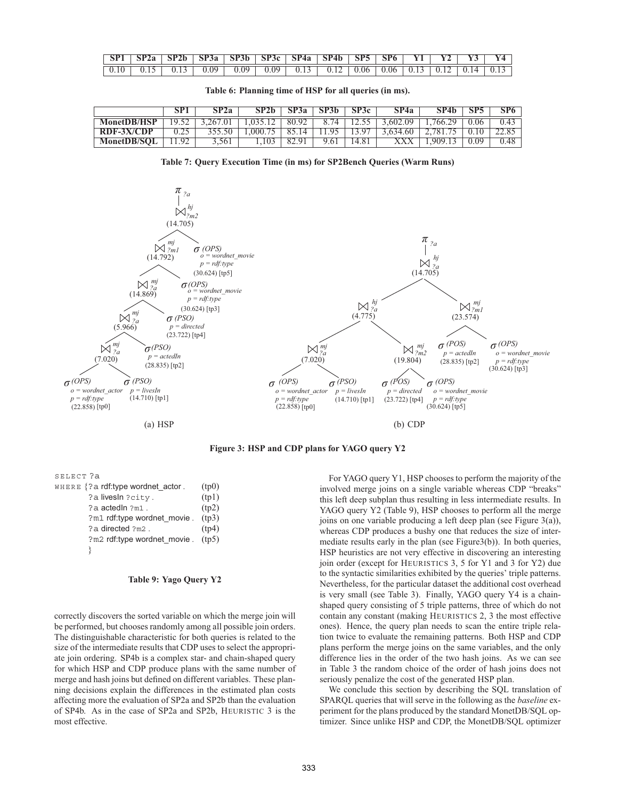|  |  | SP1   SP2a   SP2b   SP3a   SP3b   SP3c   SP4a   SP4b   SP5   SP6   Y1   Y2   Y3   Y4 |  |  |  |  |  |
|--|--|--------------------------------------------------------------------------------------|--|--|--|--|--|
|  |  |                                                                                      |  |  |  |  |  |

| Table 6: Planning time of HSP for all queries (in ms). |  |  |  |  |  |  |
|--------------------------------------------------------|--|--|--|--|--|--|
|--------------------------------------------------------|--|--|--|--|--|--|

|                    |       | SP2a        | SP2b      | SP3a              | SP <sub>3</sub> b | SP3c           | SP4a     | SP4b    | SP5  | SP6  |
|--------------------|-------|-------------|-----------|-------------------|-------------------|----------------|----------|---------|------|------|
| <b>MonetDB/HSP</b> | 19.52 | .267<br>.01 |           | 80.92             | 74                |                | 3.602.09 | .766.29 | 0.06 | 0.43 |
| <b>RDF-3X/CDP</b>  |       | 355.50      | $0.000$ . |                   | O,                | O <sup>-</sup> | .634.60  | 781.    |      |      |
| <b>MonetDB/SOL</b> | 1.92  | 3.561       | 1.103     | -82.5<br><b>Q</b> | ,61               | .4.81          |          | 1909.1. | 0.09 | 0.48 |

**Table 7: Query Execution Time (in ms) for SP2Bench Queries (Warm Runs)**



**Figure 3: HSP and CDP plans for YAGO query Y2**

 $SELECT$  ?a

| WHERE {?a rdf:type wordnet actor.      | (tp0) |
|----------------------------------------|-------|
| ?a livesln ?city.                      | (tp1) |
| ?a acted n ?m1.                        | (tp2) |
| $?m1$ rdf:type wordnet movie . $(tp3)$ |       |
| ?a directed ?m2.                       | (tp4) |
| $?m2$ rdf:type wordnet movie . (tp5)   |       |
|                                        |       |

#### **Table 9: Yago Query Y2**

correctly discovers the sorted variable on which the merge join will be performed, but chooses randomly among all possible join orders. The distinguishable characteristic for both queries is related to the size of the intermediate results that CDP uses to select the appropriate join ordering. SP4b is a complex star- and chain-shaped query for which HSP and CDP produce plans with the same number of merge and hash joins but defined on different variables. These planning decisions explain the differences in the estimated plan costs affecting more the evaluation of SP2a and SP2b than the evaluation of SP4b. As in the case of SP2a and SP2b, HEURISTIC 3 is the most effective.

For YAGO query Y1, HSP chooses to perform the majority of the involved merge joins on a single variable whereas CDP "breaks" this left deep subplan thus resulting in less intermediate results. In YAGO query Y2 (Table 9), HSP chooses to perform all the merge joins on one variable producing a left deep plan (see Figure 3(a)), whereas CDP produces a bushy one that reduces the size of intermediate results early in the plan (see Figure3(b)). In both queries, HSP heuristics are not very effective in discovering an interesting join order (except for HEURISTICS 3, 5 for Y1 and 3 for Y2) due to the syntactic similarities exhibited by the queries' triple patterns. Nevertheless, for the particular dataset the additional cost overhead is very small (see Table 3). Finally, YAGO query Y4 is a chainshaped query consisting of 5 triple patterns, three of which do not contain any constant (making HEURISTICS 2, 3 the most effective ones). Hence, the query plan needs to scan the entire triple relation twice to evaluate the remaining patterns. Both HSP and CDP plans perform the merge joins on the same variables, and the only difference lies in the order of the two hash joins. As we can see in Table 3 the random choice of the order of hash joins does not seriously penalize the cost of the generated HSP plan.

We conclude this section by describing the SQL translation of SPARQL queries that will serve in the following as the *baseline* experiment for the plans produced by the standard MonetDB/SQL optimizer. Since unlike HSP and CDP, the MonetDB/SQL optimizer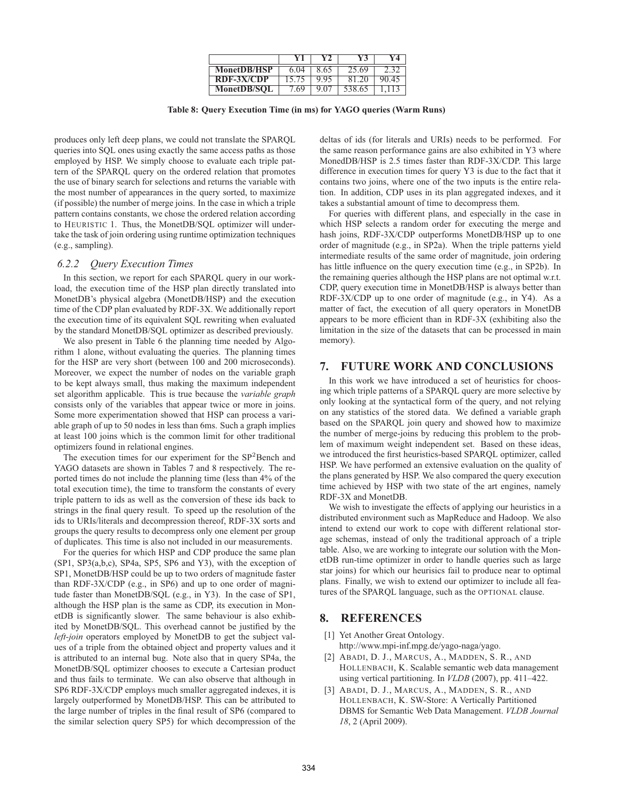| <b>MonetDB/HSP</b> | 6.04  | 8.65 | 25.69  |                |
|--------------------|-------|------|--------|----------------|
| <b>RDF-3X/CDP</b>  | 15.75 |      | 81 20  | $90.4^{\circ}$ |
| MonetDB/SQL        |       |      | 538.65 |                |

**Table 8: Query Execution Time (in ms) for YAGO queries (Warm Runs)**

produces only left deep plans, we could not translate the SPARQL queries into SQL ones using exactly the same access paths as those employed by HSP. We simply choose to evaluate each triple pattern of the SPARQL query on the ordered relation that promotes the use of binary search for selections and returns the variable with the most number of appearances in the query sorted, to maximize (if possible) the number of merge joins. In the case in which a triple pattern contains constants, we chose the ordered relation according to HEURISTIC 1. Thus, the MonetDB/SQL optimizer will undertake the task of join ordering using runtime optimization techniques (e.g., sampling).

#### *6.2.2 Query Execution Times*

In this section, we report for each SPARQL query in our workload, the execution time of the HSP plan directly translated into MonetDB's physical algebra (MonetDB/HSP) and the execution time of the CDP plan evaluated by RDF-3X. We additionally report the execution time of its equivalent SQL rewriting when evaluated by the standard MonetDB/SQL optimizer as described previously.

We also present in Table 6 the planning time needed by Algorithm 1 alone, without evaluating the queries. The planning times for the HSP are very short (between 100 and 200 microseconds). Moreover, we expect the number of nodes on the variable graph to be kept always small, thus making the maximum independent set algorithm applicable. This is true because the *variable graph* consists only of the variables that appear twice or more in joins. Some more experimentation showed that HSP can process a variable graph of up to 50 nodes in less than 6ms. Such a graph implies at least 100 joins which is the common limit for other traditional optimizers found in relational engines.

The execution times for our experiment for the  $SP<sup>2</sup>$ Bench and YAGO datasets are shown in Tables 7 and 8 respectively. The reported times do not include the planning time (less than 4% of the total execution time), the time to transform the constants of every triple pattern to ids as well as the conversion of these ids back to strings in the final query result. To speed up the resolution of the ids to URIs/literals and decompression thereof, RDF-3X sorts and groups the query results to decompress only one element per group of duplicates. This time is also not included in our measurements.

For the queries for which HSP and CDP produce the same plan (SP1, SP3(a,b,c), SP4a, SP5, SP6 and Y3), with the exception of SP1, MonetDB/HSP could be up to two orders of magnitude faster than RDF-3X/CDP (e.g., in SP6) and up to one order of magnitude faster than MonetDB/SQL (e.g., in Y3). In the case of SP1, although the HSP plan is the same as CDP, its execution in MonetDB is significantly slower. The same behaviour is also exhibited by MonetDB/SQL. This overhead cannot be justified by the *left-join* operators employed by MonetDB to get the subject values of a triple from the obtained object and property values and it is attributed to an internal bug. Note also that in query SP4a, the MonetDB/SQL optimizer chooses to execute a Cartesian product and thus fails to terminate. We can also observe that although in SP6 RDF-3X/CDP employs much smaller aggregated indexes, it is largely outperformed by MonetDB/HSP. This can be attributed to the large number of triples in the final result of SP6 (compared to the similar selection query SP5) for which decompression of the deltas of ids (for literals and URIs) needs to be performed. For the same reason performance gains are also exhibited in Y3 where MonedDB/HSP is 2.5 times faster than RDF-3X/CDP. This large difference in execution times for query Y3 is due to the fact that it contains two joins, where one of the two inputs is the entire relation. In addition, CDP uses in its plan aggregated indexes, and it takes a substantial amount of time to decompress them.

For queries with different plans, and especially in the case in which HSP selects a random order for executing the merge and hash joins, RDF-3X/CDP outperforms MonetDB/HSP up to one order of magnitude (e.g., in SP2a). When the triple patterns yield intermediate results of the same order of magnitude, join ordering has little influence on the query execution time (e.g., in SP2b). In the remaining queries although the HSP plans are not optimal w.r.t. CDP, query execution time in MonetDB/HSP is always better than RDF-3X/CDP up to one order of magnitude (e.g., in Y4). As a matter of fact, the execution of all query operators in MonetDB appears to be more efficient than in RDF-3X (exhibiting also the limitation in the size of the datasets that can be processed in main memory).

# **7. FUTURE WORK AND CONCLUSIONS**

In this work we have introduced a set of heuristics for choosing which triple patterns of a SPARQL query are more selective by only looking at the syntactical form of the query, and not relying on any statistics of the stored data. We defined a variable graph based on the SPARQL join query and showed how to maximize the number of merge-joins by reducing this problem to the problem of maximum weight independent set. Based on these ideas, we introduced the first heuristics-based SPARQL optimizer, called HSP. We have performed an extensive evaluation on the quality of the plans generated by HSP. We also compared the query execution time achieved by HSP with two state of the art engines, namely RDF-3X and MonetDB.

We wish to investigate the effects of applying our heuristics in a distributed environment such as MapReduce and Hadoop. We also intend to extend our work to cope with different relational storage schemas, instead of only the traditional approach of a triple table. Also, we are working to integrate our solution with the MonetDB run-time optimizer in order to handle queries such as large star joins) for which our heurisics fail to produce near to optimal plans. Finally, we wish to extend our optimizer to include all features of the SPARQL language, such as the OPTIONAL clause.

## **8. REFERENCES**

- [1] Yet Another Great Ontology. http://www.mpi-inf.mpg.de/yago-naga/yago.
- [2] ABADI, D. J., MARCUS, A., MADDEN, S. R., AND HOLLENBACH, K. Scalable semantic web data management using vertical partitioning. In *VLDB* (2007), pp. 411–422.
- [3] ABADI, D. J., MARCUS, A., MADDEN, S. R., AND HOLLENBACH, K. SW-Store: A Vertically Partitioned DBMS for Semantic Web Data Management. *VLDB Journal 18*, 2 (April 2009).